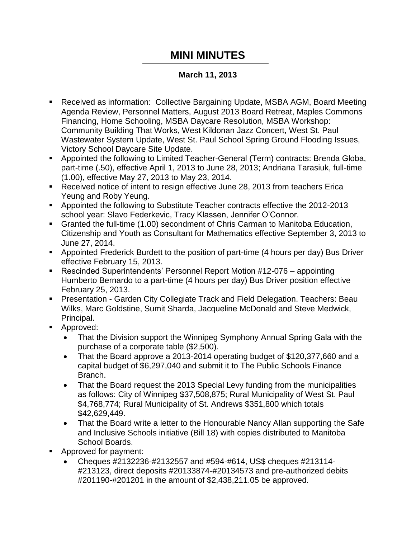## **MINI MINUTES**

## **March 11, 2013**

- Received as information: Collective Bargaining Update, MSBA AGM, Board Meeting Agenda Review, Personnel Matters, August 2013 Board Retreat, Maples Commons Financing, Home Schooling, MSBA Daycare Resolution, MSBA Workshop: Community Building That Works, West Kildonan Jazz Concert, West St. Paul Wastewater System Update, West St. Paul School Spring Ground Flooding Issues, Victory School Daycare Site Update.
- Appointed the following to Limited Teacher-General (Term) contracts: Brenda Globa, part-time (.50), effective April 1, 2013 to June 28, 2013; Andriana Tarasiuk, full-time (1.00), effective May 27, 2013 to May 23, 2014.
- Received notice of intent to resign effective June 28, 2013 from teachers Erica Yeung and Roby Yeung.
- Appointed the following to Substitute Teacher contracts effective the 2012-2013 school year: Slavo Federkevic, Tracy Klassen, Jennifer O'Connor.
- Granted the full-time (1.00) secondment of Chris Carman to Manitoba Education, Citizenship and Youth as Consultant for Mathematics effective September 3, 2013 to June 27, 2014.
- Appointed Frederick Burdett to the position of part-time (4 hours per day) Bus Driver effective February 15, 2013.
- Rescinded Superintendents' Personnel Report Motion #12-076 appointing Humberto Bernardo to a part-time (4 hours per day) Bus Driver position effective February 25, 2013.
- Presentation Garden City Collegiate Track and Field Delegation. Teachers: Beau Wilks, Marc Goldstine, Sumit Sharda, Jacqueline McDonald and Steve Medwick, Principal.
- **Approved:** 
	- That the Division support the Winnipeg Symphony Annual Spring Gala with the purchase of a corporate table (\$2,500).
	- That the Board approve a 2013-2014 operating budget of \$120,377,660 and a capital budget of \$6,297,040 and submit it to The Public Schools Finance Branch.
	- That the Board request the 2013 Special Levy funding from the municipalities as follows: City of Winnipeg \$37,508,875; Rural Municipality of West St. Paul \$4,768,774; Rural Municipality of St. Andrews \$351,800 which totals \$42,629,449.
	- That the Board write a letter to the Honourable Nancy Allan supporting the Safe and Inclusive Schools initiative (Bill 18) with copies distributed to Manitoba School Boards.
- Approved for payment:
	- Cheques #2132236-#2132557 and #594-#614, US\$ cheques #213114- #213123, direct deposits #20133874-#20134573 and pre-authorized debits #201190-#201201 in the amount of \$2,438,211.05 be approved.